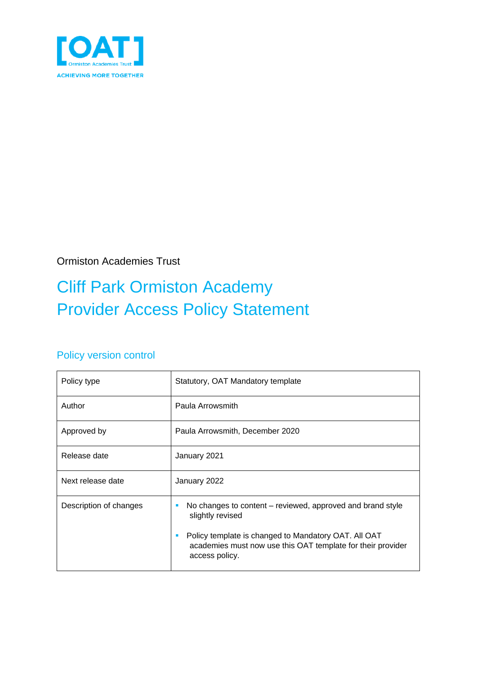

Ormiston Academies Trust

# Cliff Park Ormiston Academy Provider Access Policy Statement

#### Policy version control

| Policy type            | Statutory, OAT Mandatory template                                                                                                                                                                                            |  |  |
|------------------------|------------------------------------------------------------------------------------------------------------------------------------------------------------------------------------------------------------------------------|--|--|
| Author                 | Paula Arrowsmith                                                                                                                                                                                                             |  |  |
| Approved by            | Paula Arrowsmith, December 2020                                                                                                                                                                                              |  |  |
| Release date           | January 2021                                                                                                                                                                                                                 |  |  |
| Next release date      | January 2022                                                                                                                                                                                                                 |  |  |
| Description of changes | No changes to content – reviewed, approved and brand style<br>п<br>slightly revised<br>Policy template is changed to Mandatory OAT. All OAT<br>academies must now use this OAT template for their provider<br>access policy. |  |  |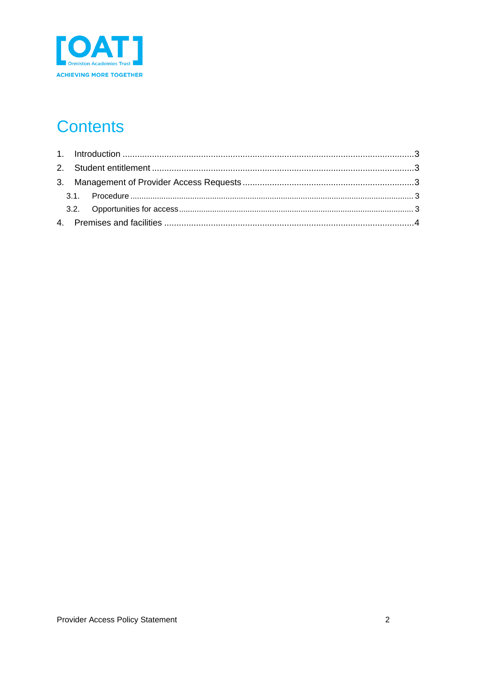

### **Contents**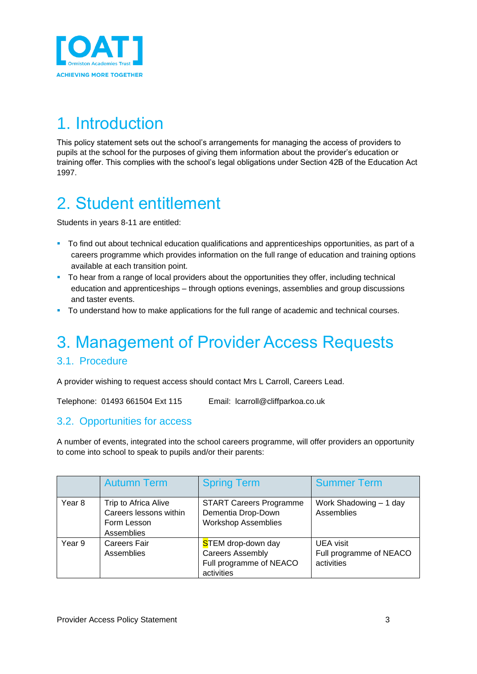

## <span id="page-2-0"></span>1. Introduction

This policy statement sets out the school's arrangements for managing the access of providers to pupils at the school for the purposes of giving them information about the provider's education or training offer. This complies with the school's legal obligations under Section 42B of the Education Act 1997.

### <span id="page-2-1"></span>2. Student entitlement

Students in years 8-11 are entitled:

- To find out about technical education qualifications and apprenticeships opportunities, as part of a careers programme which provides information on the full range of education and training options available at each transition point.
- To hear from a range of local providers about the opportunities they offer, including technical education and apprenticeships – through options evenings, assemblies and group discussions and taster events.
- To understand how to make applications for the full range of academic and technical courses.

# <span id="page-2-2"></span>3. Management of Provider Access Requests

#### <span id="page-2-3"></span>3.1. Procedure

A provider wishing to request access should contact Mrs L Carroll, Careers Lead.

Telephone: 01493 661504 Ext 115 Email: lcarroll@cliffparkoa.co.uk

#### <span id="page-2-4"></span>3.2. Opportunities for access

A number of events, integrated into the school careers programme, will offer providers an opportunity to come into school to speak to pupils and/or their parents:

|        | <b>Autumn Term</b>                                                          | <b>Spring Term</b>                                                                     | <b>Summer Term</b>                                        |
|--------|-----------------------------------------------------------------------------|----------------------------------------------------------------------------------------|-----------------------------------------------------------|
| Year 8 | Trip to Africa Alive<br>Careers lessons within<br>Form Lesson<br>Assemblies | <b>START Careers Programme</b><br>Dementia Drop-Down<br><b>Workshop Assemblies</b>     | Work Shadowing - 1 day<br>Assemblies                      |
| Year 9 | <b>Careers Fair</b><br>Assemblies                                           | STEM drop-down day<br><b>Careers Assembly</b><br>Full programme of NEACO<br>activities | <b>UEA</b> visit<br>Full programme of NEACO<br>activities |